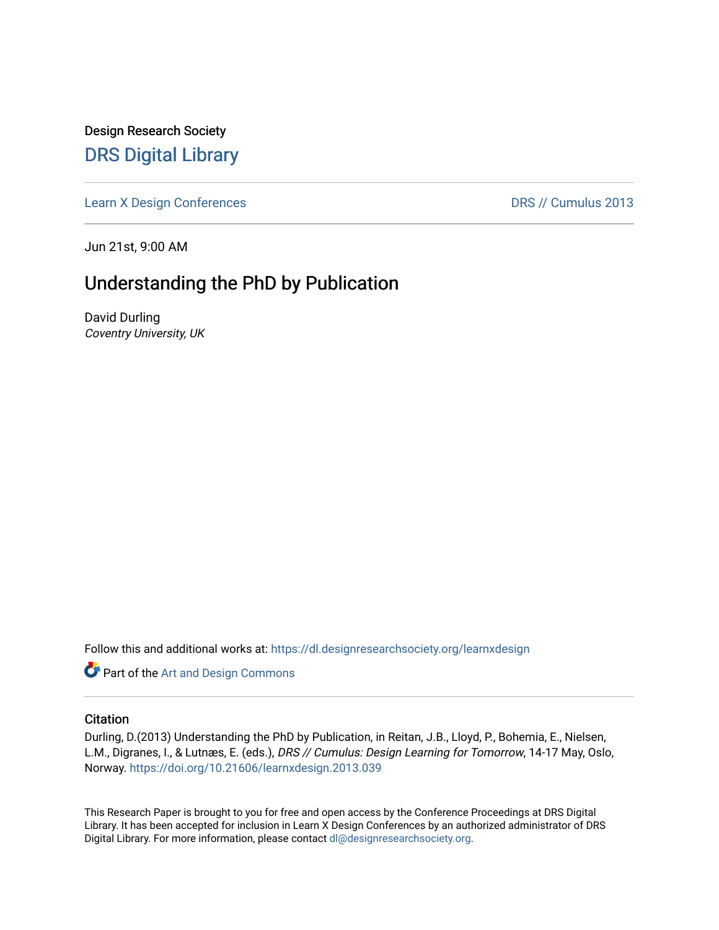Design Research Society [DRS Digital Library](https://dl.designresearchsociety.org/)

[Learn X Design Conferences](https://dl.designresearchsociety.org/learnxdesign) **DRS // Cumulus 2013** 

Jun 21st, 9:00 AM

# Understanding the PhD by Publication

David Durling Coventry University, UK

Follow this and additional works at: [https://dl.designresearchsociety.org/learnxdesign](https://dl.designresearchsociety.org/learnxdesign?utm_source=dl.designresearchsociety.org%2Flearnxdesign%2Flearnxdesign2013%2Fresearchpapers%2F39&utm_medium=PDF&utm_campaign=PDFCoverPages)

**Part of the [Art and Design Commons](http://network.bepress.com/hgg/discipline/1049?utm_source=dl.designresearchsociety.org%2Flearnxdesign%2Flearnxdesign2013%2Fresearchpapers%2F39&utm_medium=PDF&utm_campaign=PDFCoverPages)** 

#### **Citation**

Durling, D.(2013) Understanding the PhD by Publication, in Reitan, J.B., Lloyd, P., Bohemia, E., Nielsen, L.M., Digranes, I., & Lutnæs, E. (eds.), DRS // Cumulus: Design Learning for Tomorrow, 14-17 May, Oslo, Norway.<https://doi.org/10.21606/learnxdesign.2013.039>

This Research Paper is brought to you for free and open access by the Conference Proceedings at DRS Digital Library. It has been accepted for inclusion in Learn X Design Conferences by an authorized administrator of DRS Digital Library. For more information, please contact [dl@designresearchsociety.org](mailto:dl@designresearchsociety.org).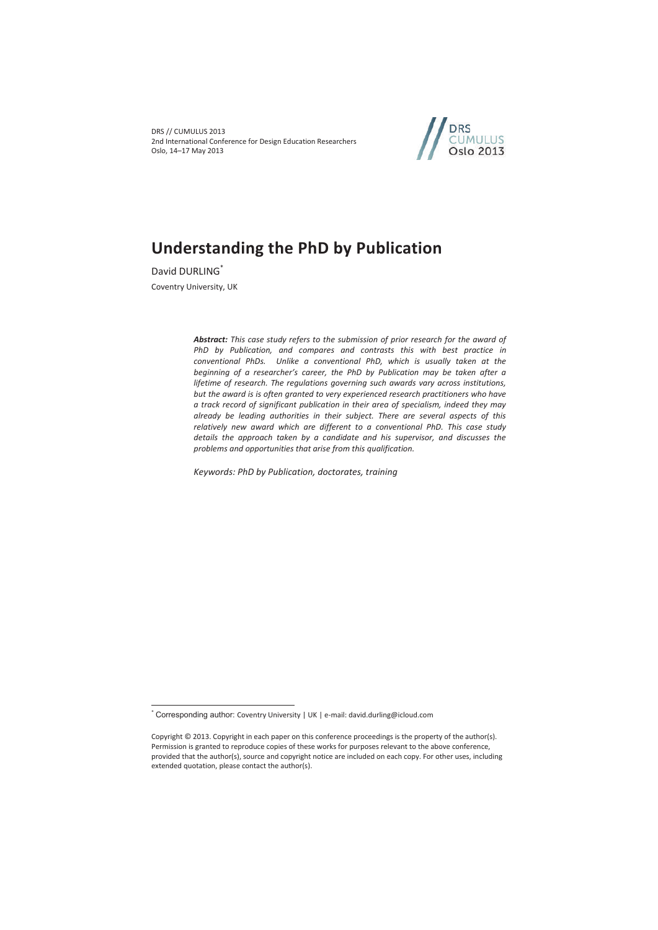DRS // CUMULUS 2013 2nd International Conference for Design Education Researchers Oslo, 14–17 May 2013



# **Understanding the PhD by Publication**

David DURLING\* Coventry University, UK

 $\overline{a}$ 

*Abstract: This case study refers to the submission of prior research for the award of PhD by Publication, and compares and contrasts this with best practice in conventional PhDs. Unlike a conventional PhD, which is usually taken at the beginning of a researcher's career, the PhD by Publication may be taken after a lifetime of research. The regulations governing such awards vary across institutions, but the award is is often granted to very experienced research practitioners who have a track record of significant publication in their area of specialism, indeed they may already be leading authorities in their subject. There are several aspects of this relatively new award which are different to a conventional PhD. This case study details the approach taken by a candidate and his supervisor, and discusses the problems and opportunities that arise from this qualification.* 

*Keywords: PhD by Publication, doctorates, training* 

<sup>\*</sup> Corresponding author: Coventry University | UK | e-mail: david.durling@icloud.com

Copyright © 2013. Copyright in each paper on this conference proceedings is the property of the author(s). Permission is granted to reproduce copies of these works for purposes relevant to the above conference, provided that the author(s), source and copyright notice are included on each copy. For other uses, including extended quotation, please contact the author(s).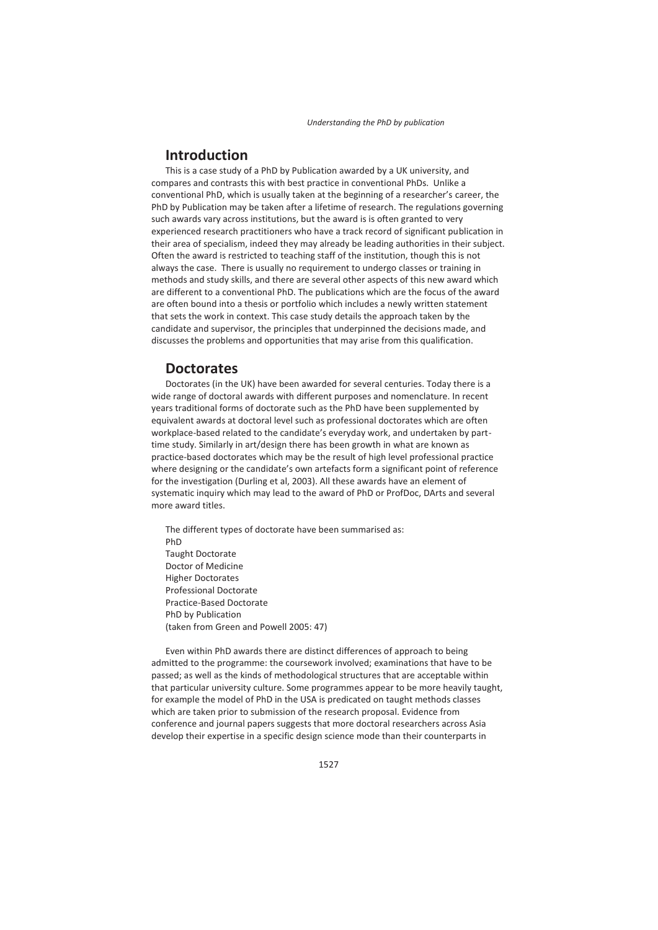## **Introduction**

This is a case study of a PhD by Publication awarded by a UK university, and compares and contrasts this with best practice in conventional PhDs. Unlike a conventional PhD, which is usually taken at the beginning of a researcher's career, the PhD by Publication may be taken after a lifetime of research. The regulations governing such awards vary across institutions, but the award is is often granted to very experienced research practitioners who have a track record of significant publication in their area of specialism, indeed they may already be leading authorities in their subject. Often the award is restricted to teaching staff of the institution, though this is not always the case. There is usually no requirement to undergo classes or training in methods and study skills, and there are several other aspects of this new award which are different to a conventional PhD. The publications which are the focus of the award are often bound into a thesis or portfolio which includes a newly written statement that sets the work in context. This case study details the approach taken by the candidate and supervisor, the principles that underpinned the decisions made, and discusses the problems and opportunities that may arise from this qualification.

#### **Doctorates**

Doctorates (in the UK) have been awarded for several centuries. Today there is a wide range of doctoral awards with different purposes and nomenclature. In recent years traditional forms of doctorate such as the PhD have been supplemented by equivalent awards at doctoral level such as professional doctorates which are often workplace-based related to the candidate's everyday work, and undertaken by parttime study. Similarly in art/design there has been growth in what are known as practice-based doctorates which may be the result of high level professional practice where designing or the candidate's own artefacts form a significant point of reference for the investigation (Durling et al, 2003). All these awards have an element of systematic inquiry which may lead to the award of PhD or ProfDoc, DArts and several more award titles.

The different types of doctorate have been summarised as: PhD Taught Doctorate Doctor of Medicine Higher Doctorates Professional Doctorate Practice-Based Doctorate PhD by Publication (taken from Green and Powell 2005: 47)

Even within PhD awards there are distinct differences of approach to being admitted to the programme: the coursework involved; examinations that have to be passed; as well as the kinds of methodological structures that are acceptable within that particular university culture. Some programmes appear to be more heavily taught, for example the model of PhD in the USA is predicated on taught methods classes which are taken prior to submission of the research proposal. Evidence from conference and journal papers suggests that more doctoral researchers across Asia develop their expertise in a specific design science mode than their counterparts in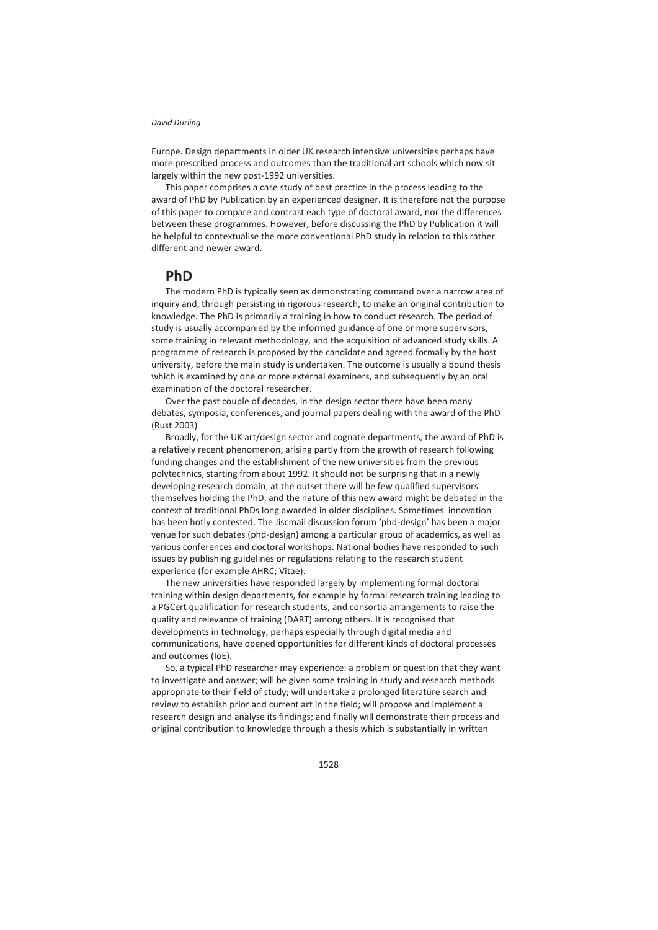Europe. Design departments in older UK research intensive universities perhaps have more prescribed process and outcomes than the traditional art schools which now sit largely within the new post-1992 universities.

This paper comprises a case study of best practice in the process leading to the award of PhD by Publication by an experienced designer. It is therefore not the purpose of this paper to compare and contrast each type of doctoral award, nor the differences between these programmes. However, before discussing the PhD by Publication it will be helpful to contextualise the more conventional PhD study in relation to this rather different and newer award.

#### **PhD**

The modern PhD is typically seen as demonstrating command over a narrow area of inquiry and, through persisting in rigorous research, to make an original contribution to knowledge. The PhD is primarily a training in how to conduct research. The period of study is usually accompanied by the informed guidance of one or more supervisors, some training in relevant methodology, and the acquisition of advanced study skills. A programme of research is proposed by the candidate and agreed formally by the host university, before the main study is undertaken. The outcome is usually a bound thesis which is examined by one or more external examiners, and subsequently by an oral examination of the doctoral researcher.

Over the past couple of decades, in the design sector there have been many debates, symposia, conferences, and journal papers dealing with the award of the PhD (Rust 2003)

Broadly, for the UK art/design sector and cognate departments, the award of PhD is a relatively recent phenomenon, arising partly from the growth of research following funding changes and the establishment of the new universities from the previous polytechnics, starting from about 1992. It should not be surprising that in a newly developing research domain, at the outset there will be few qualified supervisors themselves holding the PhD, and the nature of this new award might be debated in the context of traditional PhDs long awarded in older disciplines. Sometimes innovation has been hotly contested. The Jiscmail discussion forum 'phd-design' has been a major venue for such debates (phd-design) among a particular group of academics, as well as various conferences and doctoral workshops. National bodies have responded to such issues by publishing guidelines or regulations relating to the research student experience (for example AHRC; Vitae).

The new universities have responded largely by implementing formal doctoral training within design departments, for example by formal research training leading to a PGCert qualification for research students, and consortia arrangements to raise the quality and relevance of training (DART) among others. It is recognised that developments in technology, perhaps especially through digital media and communications, have opened opportunities for different kinds of doctoral processes and outcomes (IoE).

So, a typical PhD researcher may experience: a problem or question that they want to investigate and answer; will be given some training in study and research methods appropriate to their field of study; will undertake a prolonged literature search and review to establish prior and current art in the field; will propose and implement a research design and analyse its findings; and finally will demonstrate their process and original contribution to knowledge through a thesis which is substantially in written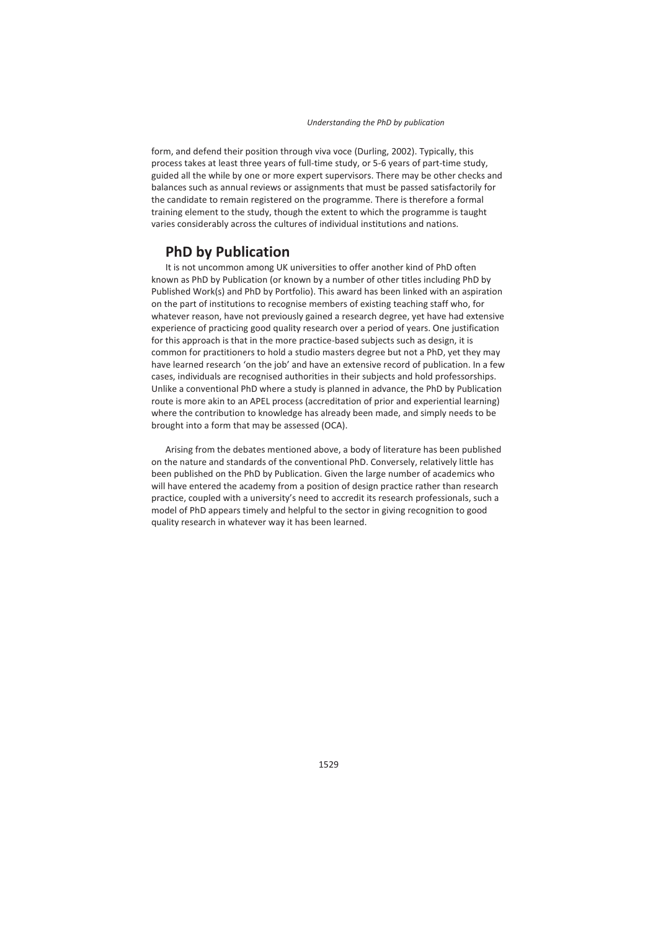form, and defend their position through viva voce (Durling, 2002). Typically, this process takes at least three years of full-time study, or 5-6 years of part-time study, guided all the while by one or more expert supervisors. There may be other checks and balances such as annual reviews or assignments that must be passed satisfactorily for the candidate to remain registered on the programme. There is therefore a formal training element to the study, though the extent to which the programme is taught varies considerably across the cultures of individual institutions and nations.

## **PhD by Publication**

It is not uncommon among UK universities to offer another kind of PhD often known as PhD by Publication (or known by a number of other titles including PhD by Published Work(s) and PhD by Portfolio). This award has been linked with an aspiration on the part of institutions to recognise members of existing teaching staff who, for whatever reason, have not previously gained a research degree, yet have had extensive experience of practicing good quality research over a period of years. One justification for this approach is that in the more practice-based subjects such as design, it is common for practitioners to hold a studio masters degree but not a PhD, yet they may have learned research 'on the job' and have an extensive record of publication. In a few cases, individuals are recognised authorities in their subjects and hold professorships. Unlike a conventional PhD where a study is planned in advance, the PhD by Publication route is more akin to an APEL process (accreditation of prior and experiential learning) where the contribution to knowledge has already been made, and simply needs to be brought into a form that may be assessed (OCA).

Arising from the debates mentioned above, a body of literature has been published on the nature and standards of the conventional PhD. Conversely, relatively little has been published on the PhD by Publication. Given the large number of academics who will have entered the academy from a position of design practice rather than research practice, coupled with a university's need to accredit its research professionals, such a model of PhD appears timely and helpful to the sector in giving recognition to good quality research in whatever way it has been learned.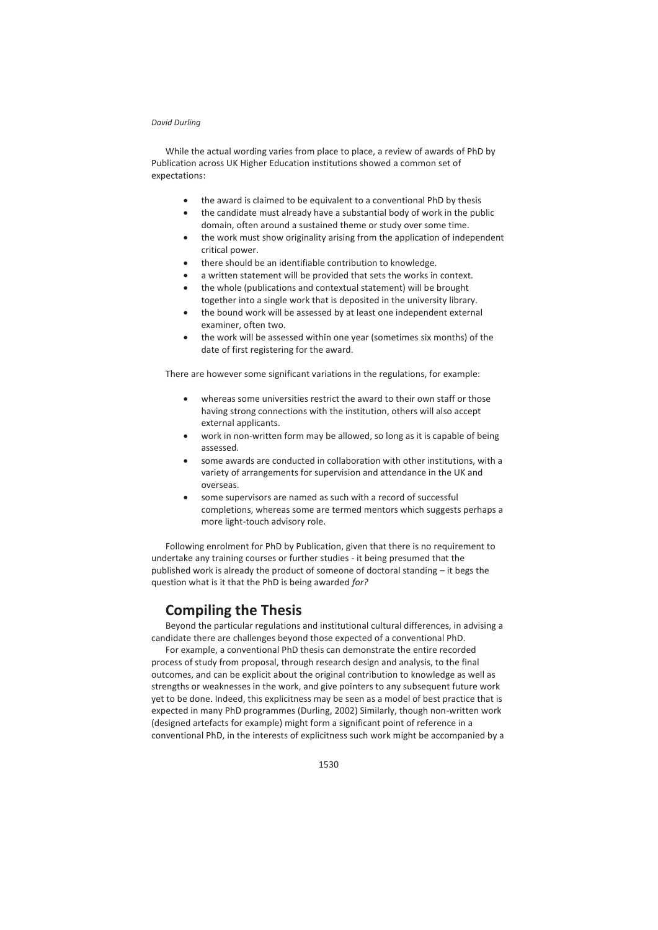While the actual wording varies from place to place, a review of awards of PhD by Publication across UK Higher Education institutions showed a common set of expectations:

- the award is claimed to be equivalent to a conventional PhD by thesis
- $\bullet$  the candidate must already have a substantial body of work in the public domain, often around a sustained theme or study over some time.
- the work must show originality arising from the application of independent critical power.
- $\bullet$  there should be an identifiable contribution to knowledge.
- a written statement will be provided that sets the works in context.
- the whole (publications and contextual statement) will be brought together into a single work that is deposited in the university library.
- the bound work will be assessed by at least one independent external examiner, often two.
- the work will be assessed within one year (sometimes six months) of the date of first registering for the award.

There are however some significant variations in the regulations, for example:

- whereas some universities restrict the award to their own staff or those having strong connections with the institution, others will also accept external applicants.
- work in non-written form may be allowed, so long as it is capable of being assessed.
- some awards are conducted in collaboration with other institutions, with a variety of arrangements for supervision and attendance in the UK and overseas.
- some supervisors are named as such with a record of successful completions, whereas some are termed mentors which suggests perhaps a more light-touch advisory role.

Following enrolment for PhD by Publication, given that there is no requirement to undertake any training courses or further studies - it being presumed that the published work is already the product of someone of doctoral standing – it begs the question what is it that the PhD is being awarded *for?* 

# **Compiling the Thesis**

Beyond the particular regulations and institutional cultural differences, in advising a candidate there are challenges beyond those expected of a conventional PhD.

For example, a conventional PhD thesis can demonstrate the entire recorded process of study from proposal, through research design and analysis, to the final outcomes, and can be explicit about the original contribution to knowledge as well as strengths or weaknesses in the work, and give pointers to any subsequent future work yet to be done. Indeed, this explicitness may be seen as a model of best practice that is expected in many PhD programmes (Durling, 2002) Similarly, though non-written work (designed artefacts for example) might form a significant point of reference in a conventional PhD, in the interests of explicitness such work might be accompanied by a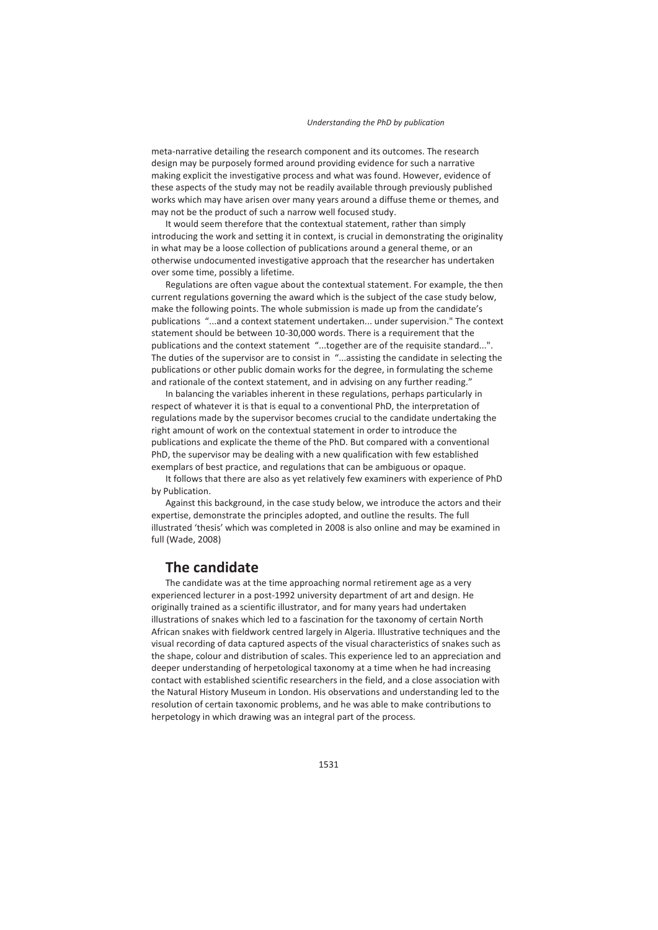meta-narrative detailing the research component and its outcomes. The research design may be purposely formed around providing evidence for such a narrative making explicit the investigative process and what was found. However, evidence of these aspects of the study may not be readily available through previously published works which may have arisen over many years around a diffuse theme or themes, and may not be the product of such a narrow well focused study.

It would seem therefore that the contextual statement, rather than simply introducing the work and setting it in context, is crucial in demonstrating the originality in what may be a loose collection of publications around a general theme, or an otherwise undocumented investigative approach that the researcher has undertaken over some time, possibly a lifetime.

Regulations are often vague about the contextual statement. For example, the then current regulations governing the award which is the subject of the case study below, make the following points. The whole submission is made up from the candidate's publications "...and a context statement undertaken... under supervision." The context statement should be between 10-30,000 words. There is a requirement that the publications and the context statement "...together are of the requisite standard...". The duties of the supervisor are to consist in "...assisting the candidate in selecting the publications or other public domain works for the degree, in formulating the scheme and rationale of the context statement, and in advising on any further reading."

In balancing the variables inherent in these regulations, perhaps particularly in respect of whatever it is that is equal to a conventional PhD, the interpretation of regulations made by the supervisor becomes crucial to the candidate undertaking the right amount of work on the contextual statement in order to introduce the publications and explicate the theme of the PhD. But compared with a conventional PhD, the supervisor may be dealing with a new qualification with few established exemplars of best practice, and regulations that can be ambiguous or opaque.

It follows that there are also as yet relatively few examiners with experience of PhD by Publication.

Against this background, in the case study below, we introduce the actors and their expertise, demonstrate the principles adopted, and outline the results. The full illustrated 'thesis' which was completed in 2008 is also online and may be examined in full (Wade, 2008)

## **The candidate**

The candidate was at the time approaching normal retirement age as a very experienced lecturer in a post-1992 university department of art and design. He originally trained as a scientific illustrator, and for many years had undertaken illustrations of snakes which led to a fascination for the taxonomy of certain North African snakes with fieldwork centred largely in Algeria. Illustrative techniques and the visual recording of data captured aspects of the visual characteristics of snakes such as the shape, colour and distribution of scales. This experience led to an appreciation and deeper understanding of herpetological taxonomy at a time when he had increasing contact with established scientific researchers in the field, and a close association with the Natural History Museum in London. His observations and understanding led to the resolution of certain taxonomic problems, and he was able to make contributions to herpetology in which drawing was an integral part of the process.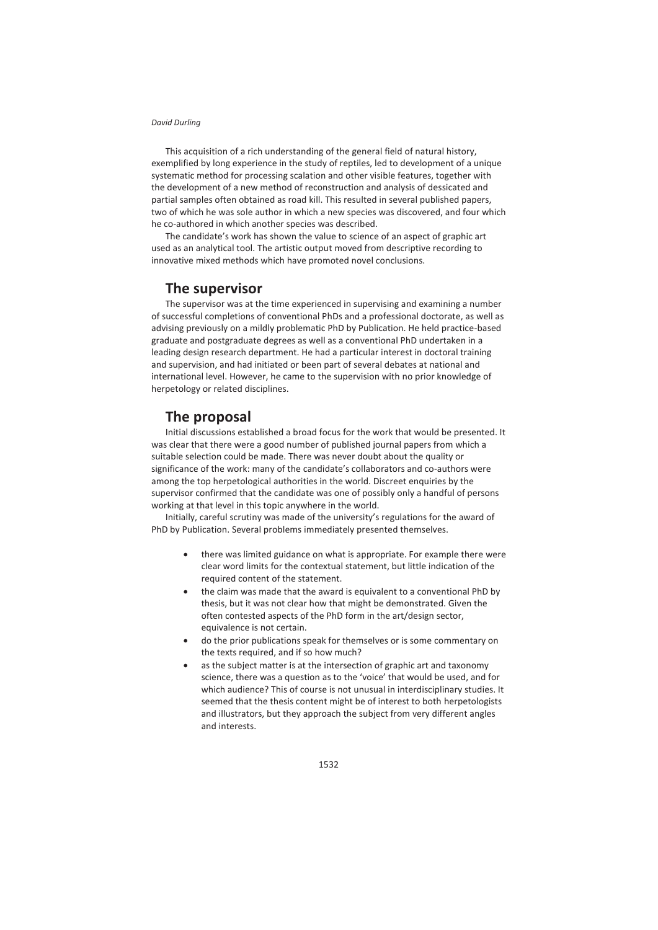This acquisition of a rich understanding of the general field of natural history, exemplified by long experience in the study of reptiles, led to development of a unique systematic method for processing scalation and other visible features, together with the development of a new method of reconstruction and analysis of dessicated and partial samples often obtained as road kill. This resulted in several published papers, two of which he was sole author in which a new species was discovered, and four which he co-authored in which another species was described.

The candidate's work has shown the value to science of an aspect of graphic art used as an analytical tool. The artistic output moved from descriptive recording to innovative mixed methods which have promoted novel conclusions.

## **The supervisor**

The supervisor was at the time experienced in supervising and examining a number of successful completions of conventional PhDs and a professional doctorate, as well as advising previously on a mildly problematic PhD by Publication. He held practice-based graduate and postgraduate degrees as well as a conventional PhD undertaken in a leading design research department. He had a particular interest in doctoral training and supervision, and had initiated or been part of several debates at national and international level. However, he came to the supervision with no prior knowledge of herpetology or related disciplines.

## **The proposal**

Initial discussions established a broad focus for the work that would be presented. It was clear that there were a good number of published journal papers from which a suitable selection could be made. There was never doubt about the quality or significance of the work: many of the candidate's collaborators and co-authors were among the top herpetological authorities in the world. Discreet enquiries by the supervisor confirmed that the candidate was one of possibly only a handful of persons working at that level in this topic anywhere in the world.

Initially, careful scrutiny was made of the university's regulations for the award of PhD by Publication. Several problems immediately presented themselves.

- there was limited guidance on what is appropriate. For example there were clear word limits for the contextual statement, but little indication of the required content of the statement.
- the claim was made that the award is equivalent to a conventional PhD by thesis, but it was not clear how that might be demonstrated. Given the often contested aspects of the PhD form in the art/design sector, equivalence is not certain.
- do the prior publications speak for themselves or is some commentary on the texts required, and if so how much?
- as the subject matter is at the intersection of graphic art and taxonomy science, there was a question as to the 'voice' that would be used, and for which audience? This of course is not unusual in interdisciplinary studies. It seemed that the thesis content might be of interest to both herpetologists and illustrators, but they approach the subject from very different angles and interests.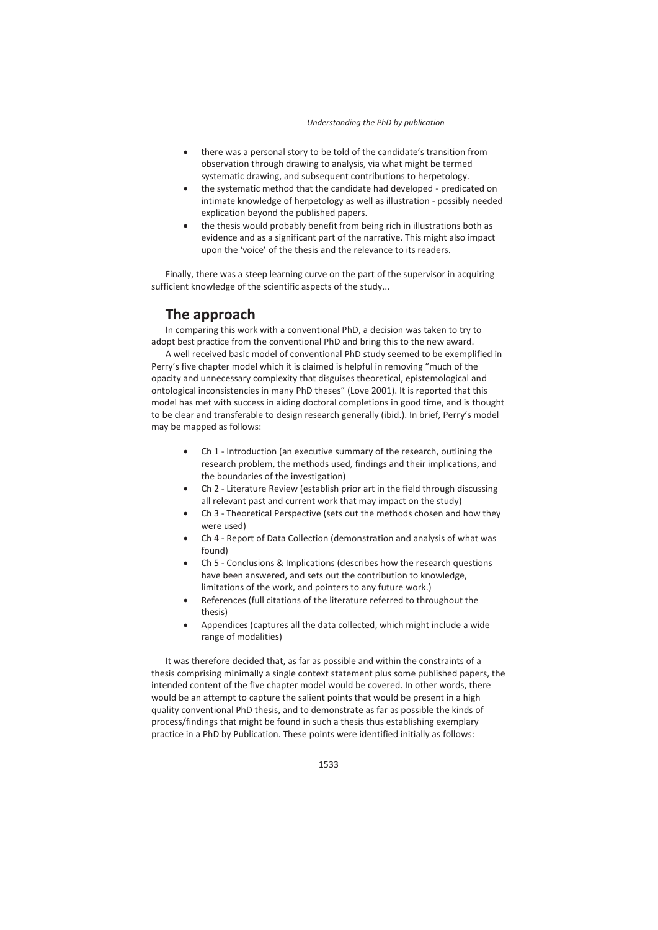- there was a personal story to be told of the candidate's transition from observation through drawing to analysis, via what might be termed systematic drawing, and subsequent contributions to herpetology.
- the systematic method that the candidate had developed predicated on intimate knowledge of herpetology as well as illustration - possibly needed explication beyond the published papers.
- the thesis would probably benefit from being rich in illustrations both as evidence and as a significant part of the narrative. This might also impact upon the 'voice' of the thesis and the relevance to its readers.

Finally, there was a steep learning curve on the part of the supervisor in acquiring sufficient knowledge of the scientific aspects of the study...

# **The approach**

In comparing this work with a conventional PhD, a decision was taken to try to adopt best practice from the conventional PhD and bring this to the new award.

A well received basic model of conventional PhD study seemed to be exemplified in Perry's five chapter model which it is claimed is helpful in removing "much of the opacity and unnecessary complexity that disguises theoretical, epistemological and ontological inconsistencies in many PhD theses" (Love 2001). It is reported that this model has met with success in aiding doctoral completions in good time, and is thought to be clear and transferable to design research generally (ibid.). In brief, Perry's model may be mapped as follows:

- Ch 1 Introduction (an executive summary of the research, outlining the research problem, the methods used, findings and their implications, and the boundaries of the investigation)
- Ch 2 Literature Review (establish prior art in the field through discussing all relevant past and current work that may impact on the study)
- Ch 3 Theoretical Perspective (sets out the methods chosen and how they were used)
- Ch 4 Report of Data Collection (demonstration and analysis of what was found)
- Ch 5 Conclusions & Implications (describes how the research questions have been answered, and sets out the contribution to knowledge, limitations of the work, and pointers to any future work.)
- References (full citations of the literature referred to throughout the thesis)
- Appendices (captures all the data collected, which might include a wide range of modalities)

It was therefore decided that, as far as possible and within the constraints of a thesis comprising minimally a single context statement plus some published papers, the intended content of the five chapter model would be covered. In other words, there would be an attempt to capture the salient points that would be present in a high quality conventional PhD thesis, and to demonstrate as far as possible the kinds of process/findings that might be found in such a thesis thus establishing exemplary practice in a PhD by Publication. These points were identified initially as follows: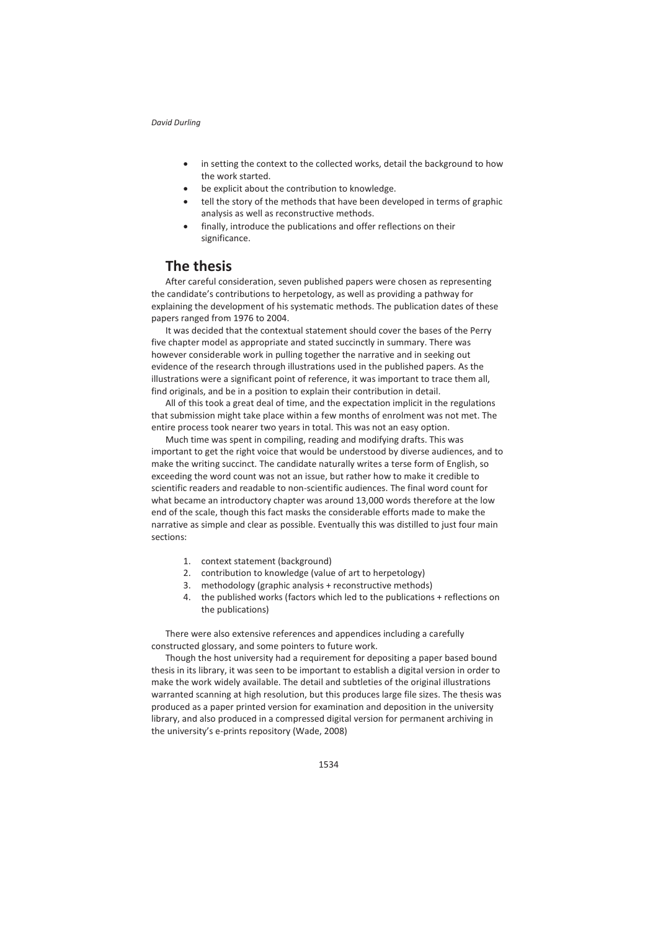- in setting the context to the collected works, detail the background to how the work started.
- be explicit about the contribution to knowledge.
- tell the story of the methods that have been developed in terms of graphic analysis as well as reconstructive methods.
- finally, introduce the publications and offer reflections on their significance.

# **The thesis**

After careful consideration, seven published papers were chosen as representing the candidate's contributions to herpetology, as well as providing a pathway for explaining the development of his systematic methods. The publication dates of these papers ranged from 1976 to 2004.

It was decided that the contextual statement should cover the bases of the Perry five chapter model as appropriate and stated succinctly in summary. There was however considerable work in pulling together the narrative and in seeking out evidence of the research through illustrations used in the published papers. As the illustrations were a significant point of reference, it was important to trace them all, find originals, and be in a position to explain their contribution in detail.

All of this took a great deal of time, and the expectation implicit in the regulations that submission might take place within a few months of enrolment was not met. The entire process took nearer two years in total. This was not an easy option.

Much time was spent in compiling, reading and modifying drafts. This was important to get the right voice that would be understood by diverse audiences, and to make the writing succinct. The candidate naturally writes a terse form of English, so exceeding the word count was not an issue, but rather how to make it credible to scientific readers and readable to non-scientific audiences. The final word count for what became an introductory chapter was around 13,000 words therefore at the low end of the scale, though this fact masks the considerable efforts made to make the narrative as simple and clear as possible. Eventually this was distilled to just four main sections:

- 1. context statement (background)
- 2. contribution to knowledge (value of art to herpetology)
- 3. methodology (graphic analysis + reconstructive methods)
- 4. the published works (factors which led to the publications + reflections on the publications)

There were also extensive references and appendices including a carefully constructed glossary, and some pointers to future work.

Though the host university had a requirement for depositing a paper based bound thesis in its library, it was seen to be important to establish a digital version in order to make the work widely available. The detail and subtleties of the original illustrations warranted scanning at high resolution, but this produces large file sizes. The thesis was produced as a paper printed version for examination and deposition in the university library, and also produced in a compressed digital version for permanent archiving in the university's e-prints repository (Wade, 2008)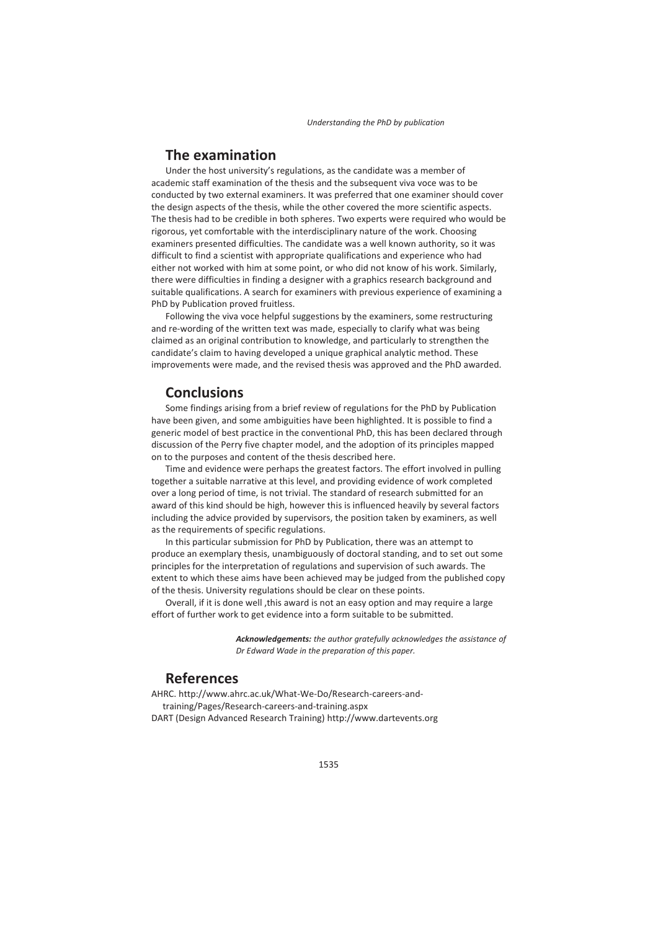#### **The examination**

Under the host university's regulations, as the candidate was a member of academic staff examination of the thesis and the subsequent viva voce was to be conducted by two external examiners. It was preferred that one examiner should cover the design aspects of the thesis, while the other covered the more scientific aspects. The thesis had to be credible in both spheres. Two experts were required who would be rigorous, yet comfortable with the interdisciplinary nature of the work. Choosing examiners presented difficulties. The candidate was a well known authority, so it was difficult to find a scientist with appropriate qualifications and experience who had either not worked with him at some point, or who did not know of his work. Similarly, there were difficulties in finding a designer with a graphics research background and suitable qualifications. A search for examiners with previous experience of examining a PhD by Publication proved fruitless.

Following the viva voce helpful suggestions by the examiners, some restructuring and re-wording of the written text was made, especially to clarify what was being claimed as an original contribution to knowledge, and particularly to strengthen the candidate's claim to having developed a unique graphical analytic method. These improvements were made, and the revised thesis was approved and the PhD awarded.

#### **Conclusions**

Some findings arising from a brief review of regulations for the PhD by Publication have been given, and some ambiguities have been highlighted. It is possible to find a generic model of best practice in the conventional PhD, this has been declared through discussion of the Perry five chapter model, and the adoption of its principles mapped on to the purposes and content of the thesis described here.

Time and evidence were perhaps the greatest factors. The effort involved in pulling together a suitable narrative at this level, and providing evidence of work completed over a long period of time, is not trivial. The standard of research submitted for an award of this kind should be high, however this is influenced heavily by several factors including the advice provided by supervisors, the position taken by examiners, as well as the requirements of specific regulations.

In this particular submission for PhD by Publication, there was an attempt to produce an exemplary thesis, unambiguously of doctoral standing, and to set out some principles for the interpretation of regulations and supervision of such awards. The extent to which these aims have been achieved may be judged from the published copy of the thesis. University regulations should be clear on these points.

Overall, if it is done well ,this award is not an easy option and may require a large effort of further work to get evidence into a form suitable to be submitted.

> *Acknowledgements: the author gratefully acknowledges the assistance of Dr Edward Wade in the preparation of this paper.*

## **References**

AHRC. http://www.ahrc.ac.uk/What-We-Do/Research-careers-andtraining/Pages/Research-careers-and-training.aspx DART (Design Advanced Research Training) http://www.dartevents.org